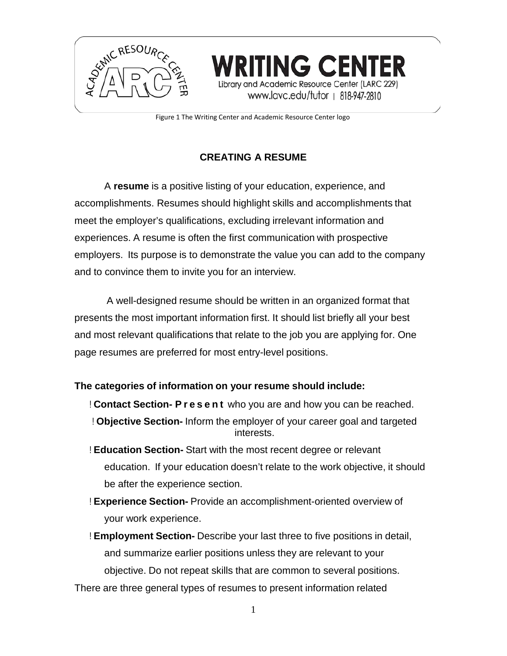

Figure 1 The Writing Center and Academic Resource Center logo

**TING CENTER** 

Library and Academic Resource Center (LARC 229) www.lavc.edu/tutor | 818-947-2810

# **CREATING A RESUME**

A **resume** is a positive listing of your education, experience, and accomplishments. Resumes should highlight skills and accomplishments that meet the employer's qualifications, excluding irrelevant information and experiences. A resume is often the first communication with prospective employers. Its purpose is to demonstrate the value you can add to the company and to convince them to invite you for an interview.

A well-designed resume should be written in an organized format that presents the most important information first. It should list briefly all your best and most relevant qualifications that relate to the job you are applying for. One page resumes are preferred for most entry-level positions.

## **The categories of information on your resume should include:**

- ! **Contact Section- Present** who you are and how you can be reached.
- ! **Objective Section-** Inform the employer of your career goal and targeted interests.
- ! **Education Section-** Start with the most recent degree or relevant education. If your education doesn't relate to the work objective, it should be after the experience section.
- ! **Experience Section-** Provide an accomplishment-oriented overview of your work experience.
- ! **Employment Section-** Describe your last three to five positions in detail, and summarize earlier positions unless they are relevant to your objective. Do not repeat skills that are common to several positions.
- There are three general types of resumes to present information related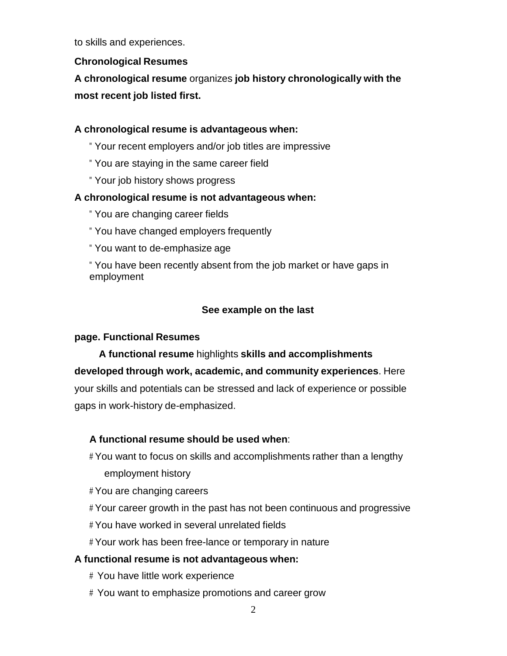to skills and experiences.

# **Chronological Resumes**

**A chronological resume** organizes **job history chronologically with the most recent job listed first.**

# **A chronological resume is advantageous when:**

- " Your recent employers and/or job titles are impressive
- " You are staying in the same career field
- " Your job history shows progress

## **A chronological resume is not advantageous when:**

- " You are changing career fields
- " You have changed employers frequently
- " You want to de-emphasize age

" You have been recently absent from the job market or have gaps in employment

# **See example on the last**

# **page. Functional Resumes**

**A functional resume** highlights **skills and accomplishments developed through work, academic, and community experiences**. Here your skills and potentials can be stressed and lack of experience or possible gaps in work-history de-emphasized.

# **A functional resume should be used when**:

# You want to focus on skills and accomplishments rather than a lengthy employment history

- # You are changing careers
- # Your career growth in the past has not been continuous and progressive
- # You have worked in several unrelated fields
- # Your work has been free-lance or temporary in nature

# **A functional resume is not advantageous when:**

- # You have little work experience
- # You want to emphasize promotions and career grow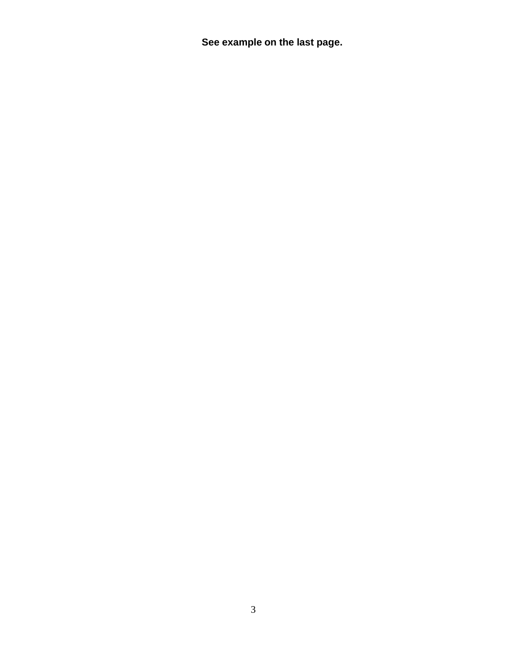**See example on the last page.**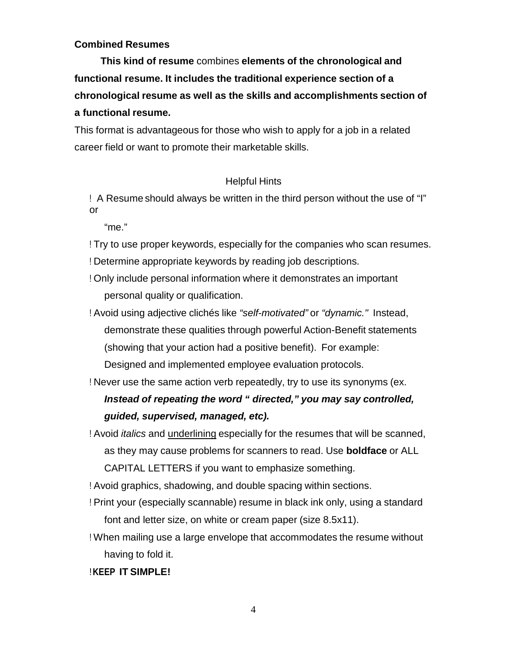#### **Combined Resumes**

**This kind of resume** combines **elements of the chronological and functional resume. It includes the traditional experience section of a chronological resume as well as the skills and accomplishments section of a functional resume.**

This format is advantageous for those who wish to apply for a job in a related career field or want to promote their marketable skills.

#### Helpful Hints

! A Resume should always be written in the third person without the use of "I" or

"me."

- ! Try to use proper keywords, especially for the companies who scan resumes.
- ! Determine appropriate keywords by reading job descriptions.
- ! Only include personal information where it demonstrates an important personal quality or qualification.
- ! Avoid using adjective clichés like *"self-motivated"* or *"dynamic."* Instead, demonstrate these qualities through powerful Action-Benefit statements (showing that your action had a positive benefit). For example: Designed and implemented employee evaluation protocols.

! Never use the same action verb repeatedly, try to use its synonyms (ex.

# *Instead of repeating the word " directed," you may say controlled, guided, supervised, managed, etc).*

! Avoid *italics* and underlining especially for the resumes that will be scanned, as they may cause problems for scanners to read. Use **boldface** or ALL CAPITAL LETTERS if you want to emphasize something.

! Avoid graphics, shadowing, and double spacing within sections.

- ! Print your (especially scannable) resume in black ink only, using a standard font and letter size, on white or cream paper (size 8.5x11).
- ! When mailing use a large envelope that accommodates the resume without having to fold it.

#### !**KEEP IT SIMPLE!**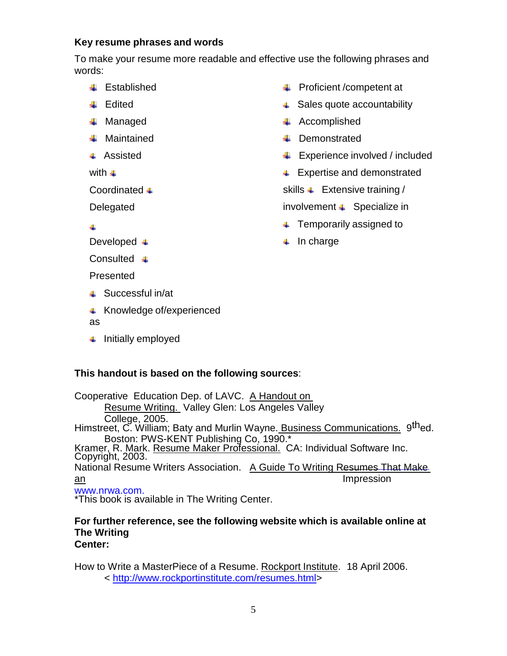#### **Key resume phrases and words**

To make your resume more readable and effective use the following phrases and words:

- **■** Established
- **↓** Edited
- **↓** Managed
- **Waintained**
- **↓** Assisted

with  $\blacksquare$ 

Coordinated <del>↓</del>

Delegated

 $\ddot{\phantom{0}}$ 

Developed +

Consulted **↓** 

Presented

- $\overline{\phantom{a}}$  Successful in/at
- **EXPERIENCEDE EXPERIENCEDENT** Knowledge of/experienced

as

 $\ddot{\phantom{1}}$  Initially employed

# **Proficient /competent at**

- **↓ Sales quote accountability**
- $\leftarrow$  Accomplished
- **Demonstrated**
- $\bigcup$  Experience involved / included
- **↓** Expertise and demonstrated

skills  $\downarrow$  Extensive training /

involvement  $\uparrow$  Specialize in

- $\overline{\phantom{a}}$  Temporarily assigned to
- $\Box$  In charge

## **This handout is based on the following sources**:

Cooperative Education Dep. of LAVC. A Handout on Resume Writing. Valley Glen: Los Angeles Valley College, 2005.<br>Himstreet, C. William; Baty and Murlin Wayne. Business Communications. 9thed.<br>Boston: PWS-KENT Publishing Co. 1990.\* Kramer, R. Mark. Resume Maker Professional. CA: Individual Software Inc. Copyright, 2003. National Resume Writers Association. A Guide To Writing Resumes That Make an Impression and the set of the set of the set of the set of the set of the set of the set of the set of the s [www.nrwa.com.](http://www.nrwa.com/) \*This book is available in The Writing Center.

#### **For further reference, see the following website which is available online at The Writing Center:**

How to Write a MasterPiece of a Resume. Rockport Institute. 18 April 2006.

< [http://www.rockportinstitute.com/resumes.html>](http://www.rockportinstitute.com/resumes.html)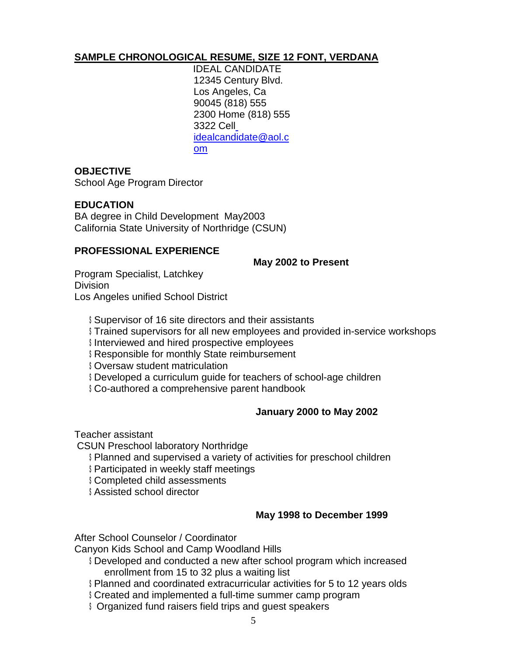# **SAMPLE CHRONOLOGICAL RESUME, SIZE 12 FONT, VERDANA**

IDEAL CANDIDATE 12345 Century Blvd. Los Angeles, Ca 90045 (818) 555 2300 Home (818) 555 3322 Cel[l](mailto:%20idealcandidate@aol.com) [idealcandidate@aol.c](mailto:%20idealcandidate@aol.com) [om](mailto:%20idealcandidate@aol.com)

## **OBJECTIVE**

School Age Program Director

## **EDUCATION**

BA degree in Child Development May2003 California State University of Northridge (CSUN)

## **PROFESSIONAL EXPERIENCE**

**May 2002 to Present**

Program Specialist, Latchkey **Division** Los Angeles unified School District

\$ Supervisor of 16 site directors and their assistants

\$ Trained supervisors for all new employees and provided in-service workshops

\$ Interviewed and hired prospective employees

\$ Responsible for monthly State reimbursement

\$ Oversaw student matriculation

\$ Developed a curriculum guide for teachers of school-age children

\$ Co-authored a comprehensive parent handbook

# **January 2000 to May 2002**

Teacher assistant

CSUN Preschool laboratory Northridge

- \$ Planned and supervised a variety of activities for preschool children
- \$ Participated in weekly staff meetings
- \$ Completed child assessments

\$ Assisted school director

# **May 1998 to December 1999**

After School Counselor / Coordinator

Canyon Kids School and Camp Woodland Hills

- \$ Developed and conducted a new after school program which increased enrollment from 15 to 32 plus a waiting list
- \$ Planned and coordinated extracurricular activities for 5 to 12 years olds
- \$ Created and implemented a full-time summer camp program
- **S** Organized fund raisers field trips and quest speakers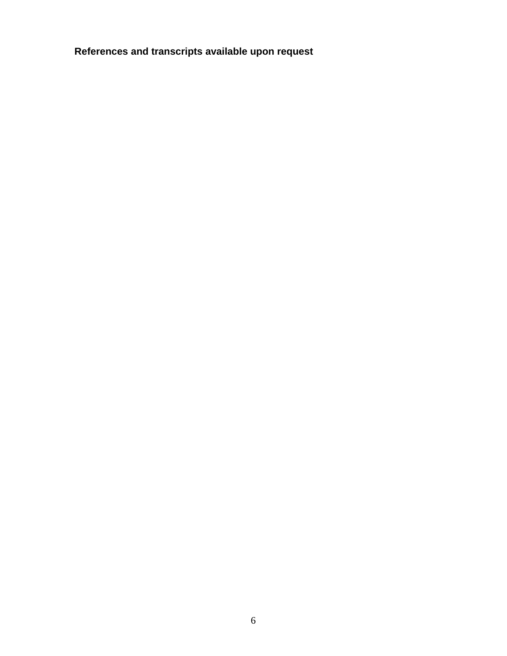**References and transcripts available upon request**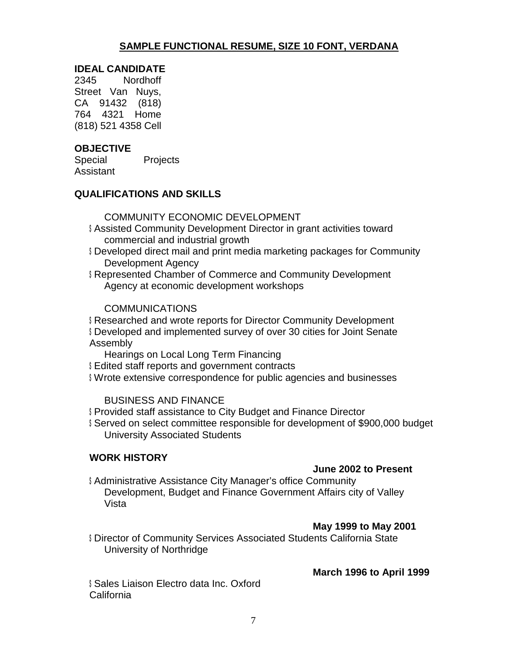# **SAMPLE FUNCTIONAL RESUME, SIZE 10 FONT, VERDANA**

#### **IDEAL CANDIDATE**

2345 Nordhoff Street Van Nuys, CA 91432 (818) 764 4321 Home (818) 521 4358 Cell

## **OBJECTIVE**

Special Projects Assistant

## **QUALIFICATIONS AND SKILLS**

#### COMMUNITY ECONOMIC DEVELOPMENT

- \$ Assisted Community Development Director in grant activities toward commercial and industrial growth
- \$ Developed direct mail and print media marketing packages for Community Development Agency
- \$ Represented Chamber of Commerce and Community Development Agency at economic development workshops

#### **COMMUNICATIONS**

\$ Researched and wrote reports for Director Community Development \$ Developed and implemented survey of over 30 cities for Joint Senate Assembly

Hearings on Local Long Term Financing

- \$ Edited staff reports and government contracts
- \$ Wrote extensive correspondence for public agencies and businesses

BUSINESS AND FINANCE

- \$ Provided staff assistance to City Budget and Finance Director
- \$ Served on select committee responsible for development of \$900,000 budget University Associated Students

## **WORK HISTORY**

#### **June 2002 to Present**

\$ Administrative Assistance City Manager's office Community Development, Budget and Finance Government Affairs city of Valley Vista

## **May 1999 to May 2001**

\$ Director of Community Services Associated Students California State University of Northridge

**March 1996 to April 1999**

\$ Sales Liaison Electro data Inc. Oxford California